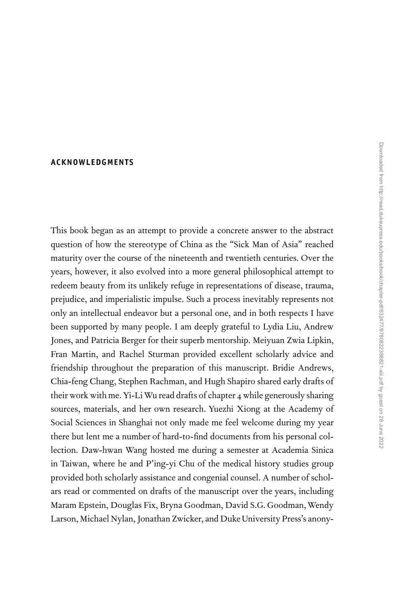## **ACKNOWLEDGMENTS**

This book began as an attempt to provide a concrete answer to the abstract question of how the stereotype of China as the "Sick Man of Asia" reached maturity over the course of the nineteenth and twentieth centuries. Over the years, however, it also evolved into a more general philosophical attempt to redeem beauty from its unlikely refuge in representations of disease, trauma, prejudice, and imperialistic impulse. Such a process inevitably represents not only an intellectual endeavor but a personal one, and in both respects I have been supported by many people. I am deeply grateful to Lydia Liu, Andrew Jones, and Patricia Berger for their superb mentorship. Meiyuan Zwia Lipkin, Fran Martin, and Rachel Sturman provided excellent scholarly advice and friendship throughout the preparation of this manuscript. Bridie Andrews, Chia-feng Chang, Stephen Rachman, and Hugh Shapiro shared early drafts of their work with me. Yi-Li Wu read drafts of chapter 4 while generously sharing sources, materials, and her own research. Yuezhi Xiong at the Academy of Social Sciences in Shanghai not only made me feel welcome during my year there but lent me a number of hard-to-find documents from his personal collection. Daw-hwan Wang hosted me during a semester at Academia Sinica in Taiwan, where he and P'ing-yi Chu of the medical history studies group provided both scholarly assistance and congenial counsel. A number of scholars read or commented on drafts of the manuscript over the years, including Maram Epstein, Douglas Fix, Bryna Goodman, David S.G. Goodman, Wendy Larson, Michael Nylan, Jonathan Zwicker, and Duke University Press's anony